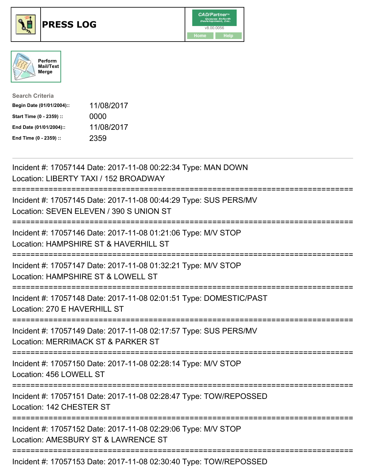





| <b>Search Criteria</b>    |            |
|---------------------------|------------|
| Begin Date (01/01/2004):: | 11/08/2017 |
| Start Time (0 - 2359) ::  | 0000       |
| End Date (01/01/2004)::   | 11/08/2017 |
| End Time (0 - 2359) ::    | 2359       |

| Incident #: 17057144 Date: 2017-11-08 00:22:34 Type: MAN DOWN<br>Location: LIBERTY TAXI / 152 BROADWAY                                        |
|-----------------------------------------------------------------------------------------------------------------------------------------------|
| Incident #: 17057145 Date: 2017-11-08 00:44:29 Type: SUS PERS/MV<br>Location: SEVEN ELEVEN / 390 S UNION ST                                   |
| Incident #: 17057146 Date: 2017-11-08 01:21:06 Type: M/V STOP<br>Location: HAMPSHIRE ST & HAVERHILL ST                                        |
| Incident #: 17057147 Date: 2017-11-08 01:32:21 Type: M/V STOP<br>Location: HAMPSHIRE ST & LOWELL ST<br>.------------------------              |
| Incident #: 17057148 Date: 2017-11-08 02:01:51 Type: DOMESTIC/PAST<br>Location: 270 E HAVERHILL ST                                            |
| Incident #: 17057149 Date: 2017-11-08 02:17:57 Type: SUS PERS/MV<br>Location: MERRIMACK ST & PARKER ST                                        |
| :=========================<br>Incident #: 17057150 Date: 2017-11-08 02:28:14 Type: M/V STOP<br>Location: 456 LOWELL ST                        |
| Incident #: 17057151 Date: 2017-11-08 02:28:47 Type: TOW/REPOSSED<br>Location: 142 CHESTER ST                                                 |
| .------------------------------------<br>Incident #: 17057152 Date: 2017-11-08 02:29:06 Type: M/V STOP<br>Location: AMESBURY ST & LAWRENCE ST |
| Incident #: 17057153 Date: 2017-11-08 02:30:40 Type: TOW/REPOSSED                                                                             |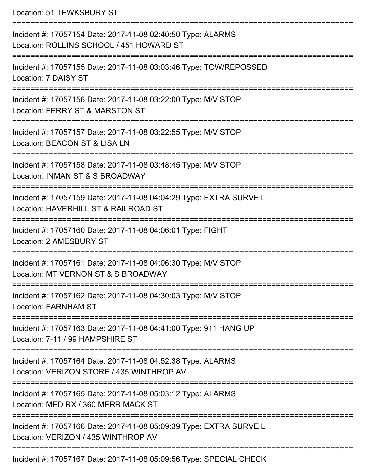Location: 51 TEWKSBURY ST

| Incident #: 17057154 Date: 2017-11-08 02:40:50 Type: ALARMS<br>Location: ROLLINS SCHOOL / 451 HOWARD ST    |
|------------------------------------------------------------------------------------------------------------|
| Incident #: 17057155 Date: 2017-11-08 03:03:46 Type: TOW/REPOSSED<br>Location: 7 DAISY ST                  |
| Incident #: 17057156 Date: 2017-11-08 03:22:00 Type: M/V STOP<br>Location: FERRY ST & MARSTON ST           |
| Incident #: 17057157 Date: 2017-11-08 03:22:55 Type: M/V STOP<br>Location: BEACON ST & LISA LN             |
| Incident #: 17057158 Date: 2017-11-08 03:48:45 Type: M/V STOP<br>Location: INMAN ST & S BROADWAY           |
| Incident #: 17057159 Date: 2017-11-08 04:04:29 Type: EXTRA SURVEIL<br>Location: HAVERHILL ST & RAILROAD ST |
| Incident #: 17057160 Date: 2017-11-08 04:06:01 Type: FIGHT<br>Location: 2 AMESBURY ST                      |
| Incident #: 17057161 Date: 2017-11-08 04:06:30 Type: M/V STOP<br>Location: MT VERNON ST & S BROADWAY       |
| Incident #: 17057162 Date: 2017-11-08 04:30:03 Type: M/V STOP<br><b>Location: FARNHAM ST</b>               |
| Incident #: 17057163 Date: 2017-11-08 04:41:00 Type: 911 HANG UP<br>Location: 7-11 / 99 HAMPSHIRE ST       |
| Incident #: 17057164 Date: 2017-11-08 04:52:38 Type: ALARMS<br>Location: VERIZON STORE / 435 WINTHROP AV   |
| Incident #: 17057165 Date: 2017-11-08 05:03:12 Type: ALARMS<br>Location: MED RX / 360 MERRIMACK ST         |
| Incident #: 17057166 Date: 2017-11-08 05:09:39 Type: EXTRA SURVEIL<br>Location: VERIZON / 435 WINTHROP AV  |
| Incident #: 17057167 Date: 2017-11-08 05:09:56 Type: SPECIAL CHECK                                         |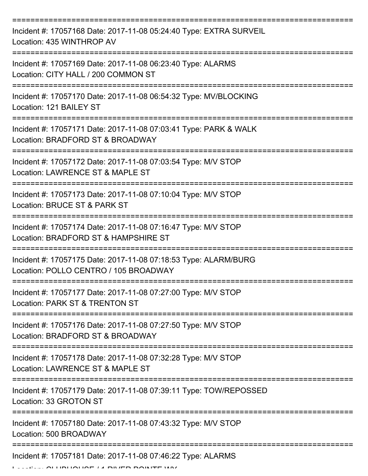| Incident #: 17057168 Date: 2017-11-08 05:24:40 Type: EXTRA SURVEIL<br>Location: 435 WINTHROP AV          |
|----------------------------------------------------------------------------------------------------------|
| Incident #: 17057169 Date: 2017-11-08 06:23:40 Type: ALARMS<br>Location: CITY HALL / 200 COMMON ST       |
| Incident #: 17057170 Date: 2017-11-08 06:54:32 Type: MV/BLOCKING<br>Location: 121 BAILEY ST              |
| Incident #: 17057171 Date: 2017-11-08 07:03:41 Type: PARK & WALK<br>Location: BRADFORD ST & BROADWAY     |
| Incident #: 17057172 Date: 2017-11-08 07:03:54 Type: M/V STOP<br>Location: LAWRENCE ST & MAPLE ST        |
| Incident #: 17057173 Date: 2017-11-08 07:10:04 Type: M/V STOP<br>Location: BRUCE ST & PARK ST            |
| Incident #: 17057174 Date: 2017-11-08 07:16:47 Type: M/V STOP<br>Location: BRADFORD ST & HAMPSHIRE ST    |
| Incident #: 17057175 Date: 2017-11-08 07:18:53 Type: ALARM/BURG<br>Location: POLLO CENTRO / 105 BROADWAY |
| Incident #: 17057177 Date: 2017-11-08 07:27:00 Type: M/V STOP<br>Location: PARK ST & TRENTON ST          |
| Incident #: 17057176 Date: 2017-11-08 07:27:50 Type: M/V STOP<br>Location: BRADFORD ST & BROADWAY        |
| Incident #: 17057178 Date: 2017-11-08 07:32:28 Type: M/V STOP<br>Location: LAWRENCE ST & MAPLE ST        |
| Incident #: 17057179 Date: 2017-11-08 07:39:11 Type: TOW/REPOSSED<br>Location: 33 GROTON ST              |
| Incident #: 17057180 Date: 2017-11-08 07:43:32 Type: M/V STOP<br>Location: 500 BROADWAY                  |
| Incident #: 17057181 Date: 2017-11-08 07:46:22 Type: ALARMS                                              |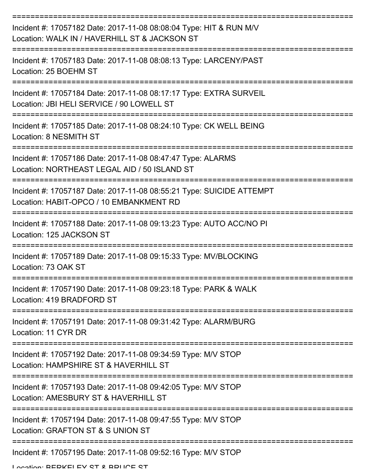| Incident #: 17057182 Date: 2017-11-08 08:08:04 Type: HIT & RUN M/V<br>Location: WALK IN / HAVERHILL ST & JACKSON ST |
|---------------------------------------------------------------------------------------------------------------------|
| Incident #: 17057183 Date: 2017-11-08 08:08:13 Type: LARCENY/PAST<br>Location: 25 BOEHM ST                          |
| Incident #: 17057184 Date: 2017-11-08 08:17:17 Type: EXTRA SURVEIL<br>Location: JBI HELI SERVICE / 90 LOWELL ST     |
| Incident #: 17057185 Date: 2017-11-08 08:24:10 Type: CK WELL BEING<br>Location: 8 NESMITH ST                        |
| Incident #: 17057186 Date: 2017-11-08 08:47:47 Type: ALARMS<br>Location: NORTHEAST LEGAL AID / 50 ISLAND ST         |
| Incident #: 17057187 Date: 2017-11-08 08:55:21 Type: SUICIDE ATTEMPT<br>Location: HABIT-OPCO / 10 EMBANKMENT RD     |
| Incident #: 17057188 Date: 2017-11-08 09:13:23 Type: AUTO ACC/NO PI<br>Location: 125 JACKSON ST                     |
| Incident #: 17057189 Date: 2017-11-08 09:15:33 Type: MV/BLOCKING<br>Location: 73 OAK ST                             |
| Incident #: 17057190 Date: 2017-11-08 09:23:18 Type: PARK & WALK<br>Location: 419 BRADFORD ST                       |
| Incident #: 17057191 Date: 2017-11-08 09:31:42 Type: ALARM/BURG<br>Location: 11 CYR DR                              |
| Incident #: 17057192 Date: 2017-11-08 09:34:59 Type: M/V STOP<br>Location: HAMPSHIRE ST & HAVERHILL ST              |
| Incident #: 17057193 Date: 2017-11-08 09:42:05 Type: M/V STOP<br>Location: AMESBURY ST & HAVERHILL ST               |
| Incident #: 17057194 Date: 2017-11-08 09:47:55 Type: M/V STOP<br>Location: GRAFTON ST & S UNION ST                  |
| Incident #: 17057195 Date: 2017-11-08 09:52:16 Type: M/V STOP                                                       |

Location: BEDKELEV ST & BBLICE ST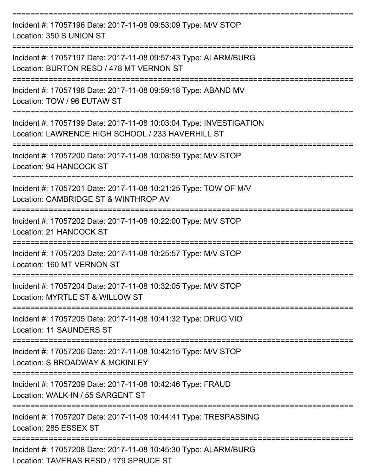| Incident #: 17057196 Date: 2017-11-08 09:53:09 Type: M/V STOP<br>Location: 350 S UNION ST                               |
|-------------------------------------------------------------------------------------------------------------------------|
| Incident #: 17057197 Date: 2017-11-08 09:57:43 Type: ALARM/BURG<br>Location: BURTON RESD / 478 MT VERNON ST             |
| Incident #: 17057198 Date: 2017-11-08 09:59:18 Type: ABAND MV<br>Location: TOW / 96 EUTAW ST                            |
| Incident #: 17057199 Date: 2017-11-08 10:03:04 Type: INVESTIGATION<br>Location: LAWRENCE HIGH SCHOOL / 233 HAVERHILL ST |
| Incident #: 17057200 Date: 2017-11-08 10:08:59 Type: M/V STOP<br>Location: 94 HANCOCK ST                                |
| Incident #: 17057201 Date: 2017-11-08 10:21:25 Type: TOW OF M/V<br>Location: CAMBRIDGE ST & WINTHROP AV                 |
| Incident #: 17057202 Date: 2017-11-08 10:22:00 Type: M/V STOP<br>Location: 21 HANCOCK ST                                |
| Incident #: 17057203 Date: 2017-11-08 10:25:57 Type: M/V STOP<br>Location: 160 MT VERNON ST                             |
| Incident #: 17057204 Date: 2017-11-08 10:32:05 Type: M/V STOP<br>Location: MYRTLE ST & WILLOW ST                        |
| Incident #: 17057205 Date: 2017-11-08 10:41:32 Type: DRUG VIO<br><b>Location: 11 SAUNDERS ST</b>                        |
| Incident #: 17057206 Date: 2017-11-08 10:42:15 Type: M/V STOP<br>Location: S BROADWAY & MCKINLEY                        |
| Incident #: 17057209 Date: 2017-11-08 10:42:46 Type: FRAUD<br>Location: WALK-IN / 55 SARGENT ST                         |
| Incident #: 17057207 Date: 2017-11-08 10:44:41 Type: TRESPASSING<br>Location: 285 ESSEX ST                              |
| Incident #: 17057208 Date: 2017-11-08 10:45:30 Type: ALARM/BURG<br>Location: TAVERAS RESD / 179 SPRUCE ST               |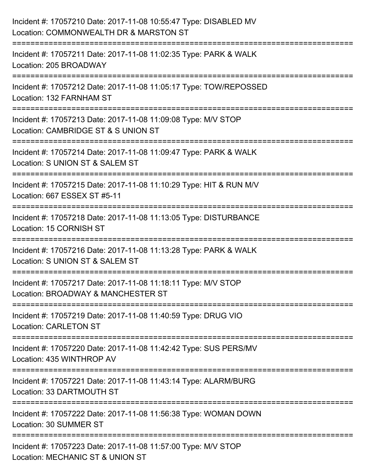| Incident #: 17057210 Date: 2017-11-08 10:55:47 Type: DISABLED MV<br>Location: COMMONWEALTH DR & MARSTON ST                                             |
|--------------------------------------------------------------------------------------------------------------------------------------------------------|
| Incident #: 17057211 Date: 2017-11-08 11:02:35 Type: PARK & WALK<br>Location: 205 BROADWAY                                                             |
| Incident #: 17057212 Date: 2017-11-08 11:05:17 Type: TOW/REPOSSED<br>Location: 132 FARNHAM ST<br>=====================                                 |
| Incident #: 17057213 Date: 2017-11-08 11:09:08 Type: M/V STOP<br>Location: CAMBRIDGE ST & S UNION ST                                                   |
| Incident #: 17057214 Date: 2017-11-08 11:09:47 Type: PARK & WALK<br>Location: S UNION ST & SALEM ST<br>===============================                 |
| Incident #: 17057215 Date: 2017-11-08 11:10:29 Type: HIT & RUN M/V<br>Location: 667 ESSEX ST #5-11                                                     |
| ====================<br>===============================<br>Incident #: 17057218 Date: 2017-11-08 11:13:05 Type: DISTURBANCE<br>Location: 15 CORNISH ST |
| Incident #: 17057216 Date: 2017-11-08 11:13:28 Type: PARK & WALK<br>Location: S UNION ST & SALEM ST                                                    |
| Incident #: 17057217 Date: 2017-11-08 11:18:11 Type: M/V STOP<br>Location: BROADWAY & MANCHESTER ST                                                    |
| Incident #: 17057219 Date: 2017-11-08 11:40:59 Type: DRUG VIO<br><b>Location: CARLETON ST</b>                                                          |
| Incident #: 17057220 Date: 2017-11-08 11:42:42 Type: SUS PERS/MV<br>Location: 435 WINTHROP AV                                                          |
| Incident #: 17057221 Date: 2017-11-08 11:43:14 Type: ALARM/BURG<br>Location: 33 DARTMOUTH ST                                                           |
| Incident #: 17057222 Date: 2017-11-08 11:56:38 Type: WOMAN DOWN<br><b>Location: 30 SUMMER ST</b>                                                       |
| Incident #: 17057223 Date: 2017-11-08 11:57:00 Type: M/V STOP<br>Location: MECHANIC ST & UNION ST                                                      |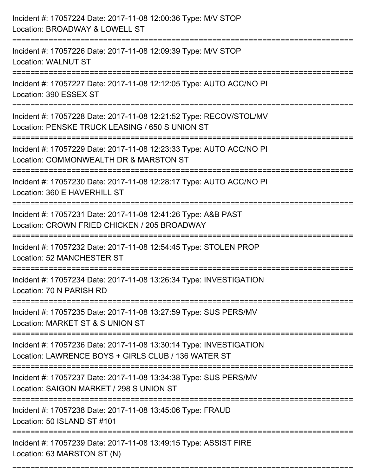| Incident #: 17057224 Date: 2017-11-08 12:00:36 Type: M/V STOP<br>Location: BROADWAY & LOWELL ST                                         |
|-----------------------------------------------------------------------------------------------------------------------------------------|
| Incident #: 17057226 Date: 2017-11-08 12:09:39 Type: M/V STOP<br><b>Location: WALNUT ST</b>                                             |
| Incident #: 17057227 Date: 2017-11-08 12:12:05 Type: AUTO ACC/NO PI<br>Location: 390 ESSEX ST                                           |
| Incident #: 17057228 Date: 2017-11-08 12:21:52 Type: RECOV/STOL/MV<br>Location: PENSKE TRUCK LEASING / 650 S UNION ST                   |
| Incident #: 17057229 Date: 2017-11-08 12:23:33 Type: AUTO ACC/NO PI<br>Location: COMMONWEALTH DR & MARSTON ST                           |
| Incident #: 17057230 Date: 2017-11-08 12:28:17 Type: AUTO ACC/NO PI<br>Location: 360 E HAVERHILL ST                                     |
| Incident #: 17057231 Date: 2017-11-08 12:41:26 Type: A&B PAST<br>Location: CROWN FRIED CHICKEN / 205 BROADWAY                           |
| Incident #: 17057232 Date: 2017-11-08 12:54:45 Type: STOLEN PROP<br>Location: 52 MANCHESTER ST                                          |
| Incident #: 17057234 Date: 2017-11-08 13:26:34 Type: INVESTIGATION<br>Location: 70 N PARISH RD                                          |
| Incident #: 17057235 Date: 2017-11-08 13:27:59 Type: SUS PERS/MV<br>Location: MARKET ST & S UNION ST                                    |
| Incident #: 17057236 Date: 2017-11-08 13:30:14 Type: INVESTIGATION<br>Location: LAWRENCE BOYS + GIRLS CLUB / 136 WATER ST               |
| Incident #: 17057237 Date: 2017-11-08 13:34:38 Type: SUS PERS/MV<br>Location: SAIGON MARKET / 298 S UNION ST<br>----------------------- |
| Incident #: 17057238 Date: 2017-11-08 13:45:06 Type: FRAUD<br>Location: 50 ISLAND ST #101                                               |
| Incident #: 17057239 Date: 2017-11-08 13:49:15 Type: ASSIST FIRE<br>Location: 63 MARSTON ST (N)                                         |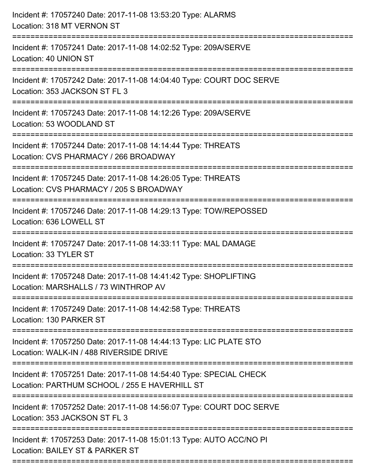| Incident #: 17057240 Date: 2017-11-08 13:53:20 Type: ALARMS<br>Location: 318 MT VERNON ST<br>:===========================                      |
|------------------------------------------------------------------------------------------------------------------------------------------------|
| Incident #: 17057241 Date: 2017-11-08 14:02:52 Type: 209A/SERVE<br>Location: 40 UNION ST                                                       |
| Incident #: 17057242 Date: 2017-11-08 14:04:40 Type: COURT DOC SERVE<br>Location: 353 JACKSON ST FL 3<br>==================================    |
| Incident #: 17057243 Date: 2017-11-08 14:12:26 Type: 209A/SERVE<br>Location: 53 WOODLAND ST<br>--------------------------------------          |
| Incident #: 17057244 Date: 2017-11-08 14:14:44 Type: THREATS<br>Location: CVS PHARMACY / 266 BROADWAY                                          |
| Incident #: 17057245 Date: 2017-11-08 14:26:05 Type: THREATS<br>Location: CVS PHARMACY / 205 S BROADWAY<br>:================================== |
| Incident #: 17057246 Date: 2017-11-08 14:29:13 Type: TOW/REPOSSED<br>Location: 636 LOWELL ST                                                   |
| Incident #: 17057247 Date: 2017-11-08 14:33:11 Type: MAL DAMAGE<br>Location: 33 TYLER ST                                                       |
| Incident #: 17057248 Date: 2017-11-08 14:41:42 Type: SHOPLIFTING<br>Location: MARSHALLS / 73 WINTHROP AV                                       |
| Incident #: 17057249 Date: 2017-11-08 14:42:58 Type: THREATS<br>Location: 130 PARKER ST                                                        |
| Incident #: 17057250 Date: 2017-11-08 14:44:13 Type: LIC PLATE STO<br>Location: WALK-IN / 488 RIVERSIDE DRIVE                                  |
| Incident #: 17057251 Date: 2017-11-08 14:54:40 Type: SPECIAL CHECK<br>Location: PARTHUM SCHOOL / 255 E HAVERHILL ST                            |
| Incident #: 17057252 Date: 2017-11-08 14:56:07 Type: COURT DOC SERVE<br>Location: 353 JACKSON ST FL 3                                          |
| Incident #: 17057253 Date: 2017-11-08 15:01:13 Type: AUTO ACC/NO PI<br>Location: BAILEY ST & PARKER ST                                         |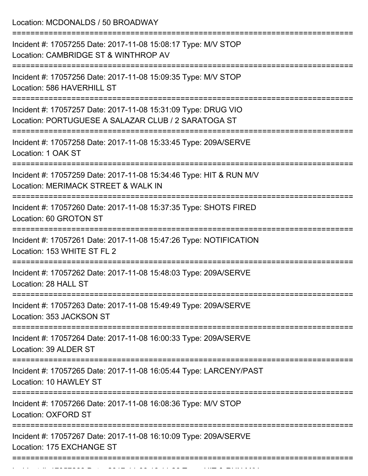Location: MCDONALDS / 50 BROADWAY =========================================================================== Incident #: 17057255 Date: 2017-11-08 15:08:17 Type: M/V STOP Location: CAMBRIDGE ST & WINTHROP AV =========================================================================== Incident #: 17057256 Date: 2017-11-08 15:09:35 Type: M/V STOP Location: 586 HAVERHILL ST =========================================================================== Incident #: 17057257 Date: 2017-11-08 15:31:09 Type: DRUG VIO Location: PORTUGUESE A SALAZAR CLUB / 2 SARATOGA ST =========================================================================== Incident #: 17057258 Date: 2017-11-08 15:33:45 Type: 209A/SERVE Location: 1 OAK ST =========================================================================== Incident #: 17057259 Date: 2017-11-08 15:34:46 Type: HIT & RUN M/V Location: MERIMACK STREET & WALK IN =========================================================================== Incident #: 17057260 Date: 2017-11-08 15:37:35 Type: SHOTS FIRED Location: 60 GROTON ST =========================================================================== Incident #: 17057261 Date: 2017-11-08 15:47:26 Type: NOTIFICATION Location: 153 WHITE ST FL 2 =========================================================================== Incident #: 17057262 Date: 2017-11-08 15:48:03 Type: 209A/SERVE Location: 28 HALL ST =========================================================================== Incident #: 17057263 Date: 2017-11-08 15:49:49 Type: 209A/SERVE Location: 353 JACKSON ST =========================================================================== Incident #: 17057264 Date: 2017-11-08 16:00:33 Type: 209A/SERVE Location: 39 ALDER ST =========================================================================== Incident #: 17057265 Date: 2017-11-08 16:05:44 Type: LARCENY/PAST Location: 10 HAWLEY ST =========================================================================== Incident #: 17057266 Date: 2017-11-08 16:08:36 Type: M/V STOP Location: OXFORD ST =========================================================================== Incident #: 17057267 Date: 2017-11-08 16:10:09 Type: 209A/SERVE Location: 175 EXCHANGE ST ===========================================================================

Incident #: 17057268 Date: 2017 11 08 16:11 08 1705 Type: 1705 Andrews Microsoft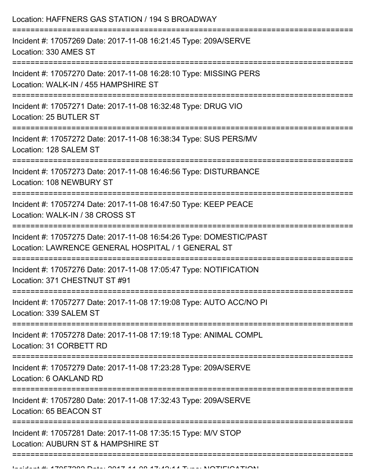| Location: HAFFNERS GAS STATION / 194 S BROADWAY                                                                               |
|-------------------------------------------------------------------------------------------------------------------------------|
| Incident #: 17057269 Date: 2017-11-08 16:21:45 Type: 209A/SERVE<br>Location: 330 AMES ST<br>-================================ |
| Incident #: 17057270 Date: 2017-11-08 16:28:10 Type: MISSING PERS<br>Location: WALK-IN / 455 HAMPSHIRE ST                     |
| Incident #: 17057271 Date: 2017-11-08 16:32:48 Type: DRUG VIO<br>Location: 25 BUTLER ST                                       |
| Incident #: 17057272 Date: 2017-11-08 16:38:34 Type: SUS PERS/MV<br>Location: 128 SALEM ST                                    |
| Incident #: 17057273 Date: 2017-11-08 16:46:56 Type: DISTURBANCE<br>Location: 108 NEWBURY ST                                  |
| Incident #: 17057274 Date: 2017-11-08 16:47:50 Type: KEEP PEACE<br>Location: WALK-IN / 38 CROSS ST                            |
| Incident #: 17057275 Date: 2017-11-08 16:54:26 Type: DOMESTIC/PAST<br>Location: LAWRENCE GENERAL HOSPITAL / 1 GENERAL ST      |
| Incident #: 17057276 Date: 2017-11-08 17:05:47 Type: NOTIFICATION<br>Location: 371 CHESTNUT ST #91                            |
| Incident #: 17057277 Date: 2017-11-08 17:19:08 Type: AUTO ACC/NO PI<br>Location: 339 SALEM ST                                 |
| Incident #: 17057278 Date: 2017-11-08 17:19:18 Type: ANIMAL COMPL<br>Location: 31 CORBETT RD                                  |
| Incident #: 17057279 Date: 2017-11-08 17:23:28 Type: 209A/SERVE<br>Location: 6 OAKLAND RD                                     |
| Incident #: 17057280 Date: 2017-11-08 17:32:43 Type: 209A/SERVE<br>Location: 65 BEACON ST                                     |
| Incident #: 17057281 Date: 2017-11-08 17:35:15 Type: M/V STOP<br>Location: AUBURN ST & HAMPSHIRE ST                           |
|                                                                                                                               |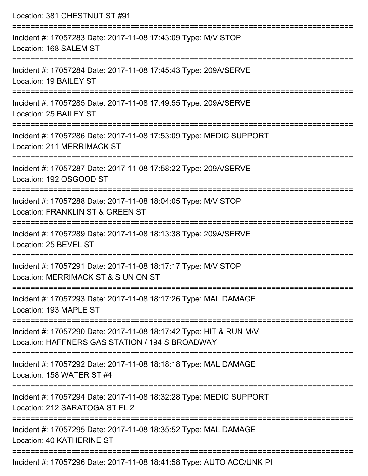| Location: 381 CHESTNUT ST #91                                                                                                      |
|------------------------------------------------------------------------------------------------------------------------------------|
| Incident #: 17057283 Date: 2017-11-08 17:43:09 Type: M/V STOP<br>Location: 168 SALEM ST                                            |
| Incident #: 17057284 Date: 2017-11-08 17:45:43 Type: 209A/SERVE<br>Location: 19 BAILEY ST                                          |
| Incident #: 17057285 Date: 2017-11-08 17:49:55 Type: 209A/SERVE<br>Location: 25 BAILEY ST                                          |
| Incident #: 17057286 Date: 2017-11-08 17:53:09 Type: MEDIC SUPPORT<br>Location: 211 MERRIMACK ST                                   |
| Incident #: 17057287 Date: 2017-11-08 17:58:22 Type: 209A/SERVE<br>Location: 192 OSGOOD ST                                         |
| Incident #: 17057288 Date: 2017-11-08 18:04:05 Type: M/V STOP<br>Location: FRANKLIN ST & GREEN ST                                  |
| Incident #: 17057289 Date: 2017-11-08 18:13:38 Type: 209A/SERVE<br>Location: 25 BEVEL ST                                           |
| ==========================<br>Incident #: 17057291 Date: 2017-11-08 18:17:17 Type: M/V STOP<br>Location: MERRIMACK ST & S UNION ST |
| Incident #: 17057293 Date: 2017-11-08 18:17:26 Type: MAL DAMAGE<br>Location: 193 MAPLE ST<br>-------------------                   |
| Incident #: 17057290 Date: 2017-11-08 18:17:42 Type: HIT & RUN M/V<br>Location: HAFFNERS GAS STATION / 194 S BROADWAY              |
| Incident #: 17057292 Date: 2017-11-08 18:18:18 Type: MAL DAMAGE<br>Location: 158 WATER ST #4                                       |
| Incident #: 17057294 Date: 2017-11-08 18:32:28 Type: MEDIC SUPPORT<br>Location: 212 SARATOGA ST FL 2                               |
| Incident #: 17057295 Date: 2017-11-08 18:35:52 Type: MAL DAMAGE<br>Location: 40 KATHERINE ST                                       |
|                                                                                                                                    |

Incident #: 17057296 Date: 2017-11-08 18:41:58 Type: AUTO ACC/UNK PI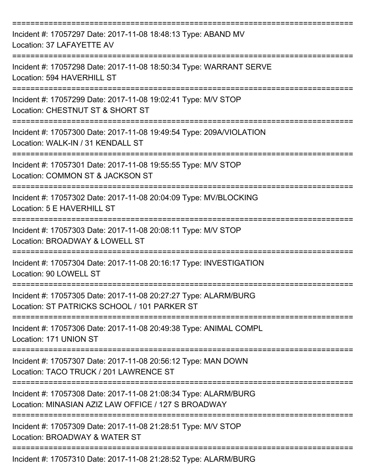| Incident #: 17057297 Date: 2017-11-08 18:48:13 Type: ABAND MV<br>Location: 37 LAFAYETTE AV                             |
|------------------------------------------------------------------------------------------------------------------------|
| Incident #: 17057298 Date: 2017-11-08 18:50:34 Type: WARRANT SERVE<br>Location: 594 HAVERHILL ST                       |
| Incident #: 17057299 Date: 2017-11-08 19:02:41 Type: M/V STOP<br>Location: CHESTNUT ST & SHORT ST                      |
| Incident #: 17057300 Date: 2017-11-08 19:49:54 Type: 209A/VIOLATION<br>Location: WALK-IN / 31 KENDALL ST               |
| Incident #: 17057301 Date: 2017-11-08 19:55:55 Type: M/V STOP<br>Location: COMMON ST & JACKSON ST                      |
| Incident #: 17057302 Date: 2017-11-08 20:04:09 Type: MV/BLOCKING<br>Location: 5 E HAVERHILL ST                         |
| Incident #: 17057303 Date: 2017-11-08 20:08:11 Type: M/V STOP<br>Location: BROADWAY & LOWELL ST                        |
| Incident #: 17057304 Date: 2017-11-08 20:16:17 Type: INVESTIGATION<br>Location: 90 LOWELL ST                           |
| Incident #: 17057305 Date: 2017-11-08 20:27:27 Type: ALARM/BURG<br>Location: ST PATRICKS SCHOOL / 101 PARKER ST        |
| Incident #: 17057306 Date: 2017-11-08 20:49:38 Type: ANIMAL COMPL<br>Location: 171 UNION ST                            |
| Incident #: 17057307 Date: 2017-11-08 20:56:12 Type: MAN DOWN<br>Location: TACO TRUCK / 201 LAWRENCE ST                |
| Incident #: 17057308 Date: 2017-11-08 21:08:34 Type: ALARM/BURG<br>Location: MINASIAN AZIZ LAW OFFICE / 127 S BROADWAY |
| Incident #: 17057309 Date: 2017-11-08 21:28:51 Type: M/V STOP<br>Location: BROADWAY & WATER ST                         |
| Incident #: 17057310 Date: 2017-11-08 21:28:52 Type: ALARM/BURG                                                        |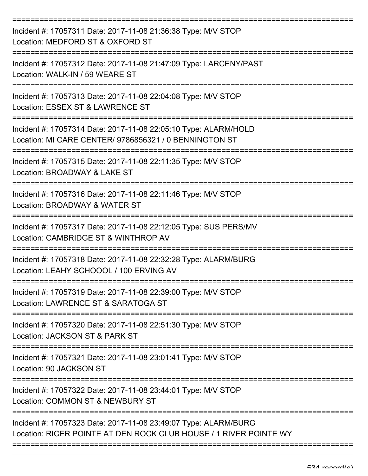| Incident #: 17057311 Date: 2017-11-08 21:36:38 Type: M/V STOP<br>Location: MEDFORD ST & OXFORD ST                                    |
|--------------------------------------------------------------------------------------------------------------------------------------|
| Incident #: 17057312 Date: 2017-11-08 21:47:09 Type: LARCENY/PAST<br>Location: WALK-IN / 59 WEARE ST                                 |
| Incident #: 17057313 Date: 2017-11-08 22:04:08 Type: M/V STOP<br>Location: ESSEX ST & LAWRENCE ST                                    |
| Incident #: 17057314 Date: 2017-11-08 22:05:10 Type: ALARM/HOLD<br>Location: MI CARE CENTER/ 9786856321 / 0 BENNINGTON ST            |
| Incident #: 17057315 Date: 2017-11-08 22:11:35 Type: M/V STOP<br>Location: BROADWAY & LAKE ST                                        |
| Incident #: 17057316 Date: 2017-11-08 22:11:46 Type: M/V STOP<br>Location: BROADWAY & WATER ST                                       |
| Incident #: 17057317 Date: 2017-11-08 22:12:05 Type: SUS PERS/MV<br>Location: CAMBRIDGE ST & WINTHROP AV                             |
| Incident #: 17057318 Date: 2017-11-08 22:32:28 Type: ALARM/BURG<br>Location: LEAHY SCHOOOL / 100 ERVING AV                           |
| Incident #: 17057319 Date: 2017-11-08 22:39:00 Type: M/V STOP<br>Location: LAWRENCE ST & SARATOGA ST                                 |
| Incident #: 17057320 Date: 2017-11-08 22:51:30 Type: M/V STOP<br>Location: JACKSON ST & PARK ST                                      |
| Incident #: 17057321 Date: 2017-11-08 23:01:41 Type: M/V STOP<br>Location: 90 JACKSON ST                                             |
| Incident #: 17057322 Date: 2017-11-08 23:44:01 Type: M/V STOP<br>Location: COMMON ST & NEWBURY ST                                    |
| Incident #: 17057323 Date: 2017-11-08 23:49:07 Type: ALARM/BURG<br>Location: RICER POINTE AT DEN ROCK CLUB HOUSE / 1 RIVER POINTE WY |
|                                                                                                                                      |